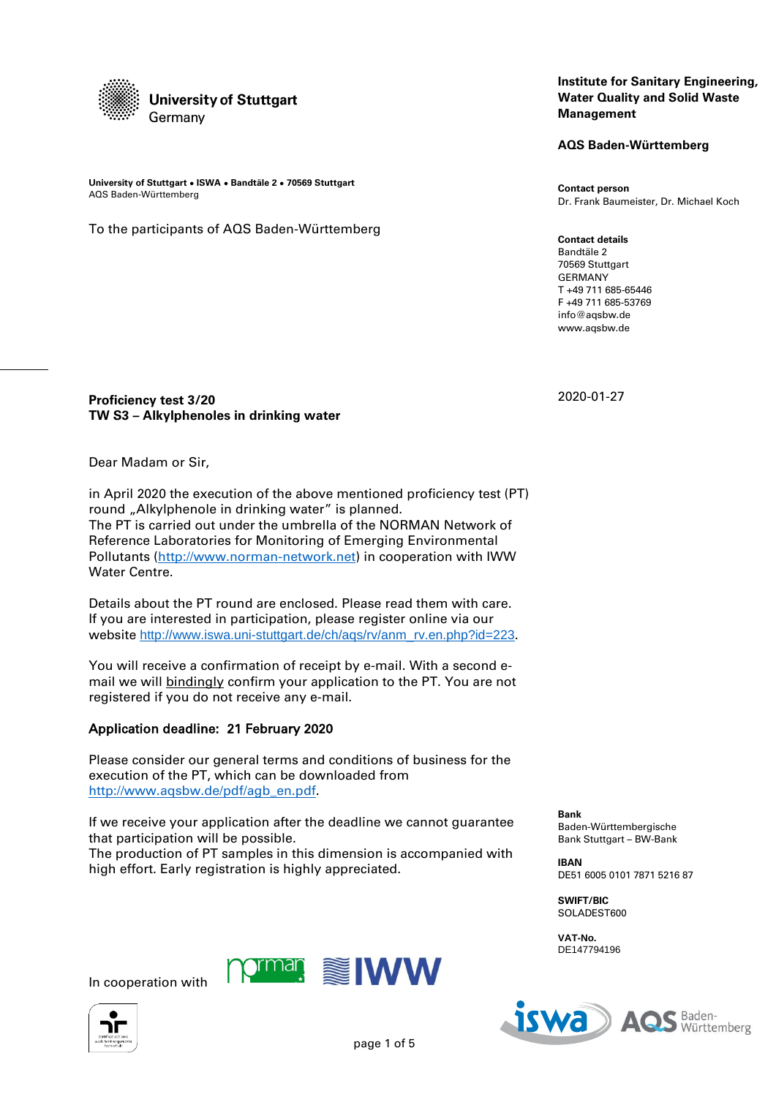

**University of Stuttgart ● ISWA ● Bandtäle 2 ● 70569 Stuttgart** AQS Baden-Württemberg

To the participants of AQS Baden-Württemberg

## **Institute for Sanitary Engineering, Water Quality and Solid Waste Management**

**AQS Baden-Württemberg**

**Contact person** Dr. Frank Baumeister, Dr. Michael Koch

**Contact details** Bandtäle 2 70569 Stuttgart GERMANY T +49 711 685-65446 F +49 711 685-53769 info@aqsbw.de www.aqsbw.de

2020-01-27

**Proficiency test 3/20 TW S3 – Alkylphenoles in drinking water**

Dear Madam or Sir,

in April 2020 the execution of the above mentioned proficiency test (PT) round "Alkylphenole in drinking water" is planned. The PT is carried out under the umbrella of the NORMAN Network of Reference Laboratories for Monitoring of Emerging Environmental Pollutants [\(http://www.norman-network.net\)](http://www.norman-network.net/) in cooperation with IWW Water Centre.

Details about the PT round are enclosed. Please read them with care. If you are interested in participation, please register online via our website [http://www.iswa.uni-stuttgart.de/ch/aqs/rv/anm\\_rv.en.php?id=223](http://www.iswa.uni-stuttgart.de/ch/aqs/rv/anm_rv.en.php?id=223).

You will receive a confirmation of receipt by e-mail. With a second email we will bindingly confirm your application to the PT. You are not registered if you do not receive any e-mail.

# Application deadline: 21 February 2020

Please consider our general terms and conditions of business for the execution of the PT, which can be downloaded from [http://www.aqsbw.de/pdf/agb\\_en.pdf.](http://www.aqsbw.de/pdf/agb_en.pdf)

If we receive your application after the deadline we cannot guarantee that participation will be possible.

The production of PT samples in this dimension is accompanied with high effort. Early registration is highly appreciated.

Baden-Württembergische Bank Stuttgart – BW-Bank

**IBAN** DE51 6005 0101 7871 5216 87

**SWIFT/BIC** SOLADEST600

**Bank**

**VAT-No.** DE147794196





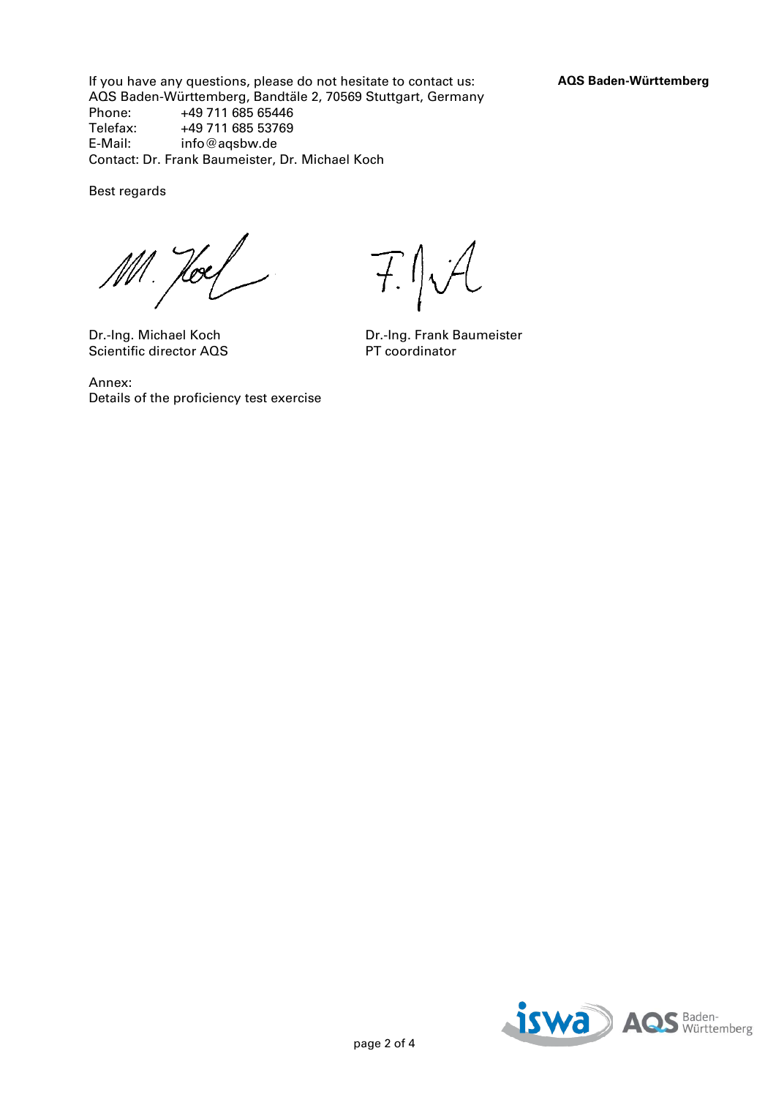If you have any questions, please do not hesitate to contact us: **AQS Baden-Württemberg** AQS Baden-Württemberg, Bandtäle 2, 70569 Stuttgart, Germany<br>Phone: +49 711 685 65446 +49 711 685 65446 Telefax: +49 711 685 53769<br>E-Mail: info@agsbw.de info@aqsbw.de Contact: Dr. Frank Baumeister, Dr. Michael Koch

Best regards

Hoes

Scientific director AQS

Annex: Details of the proficiency test exercise

 $T$  /  $V$ 

Dr.-Ing. Michael Koch Dr.-Ing. Frank Baumeister<br>Scientific director AQS PT coordinator

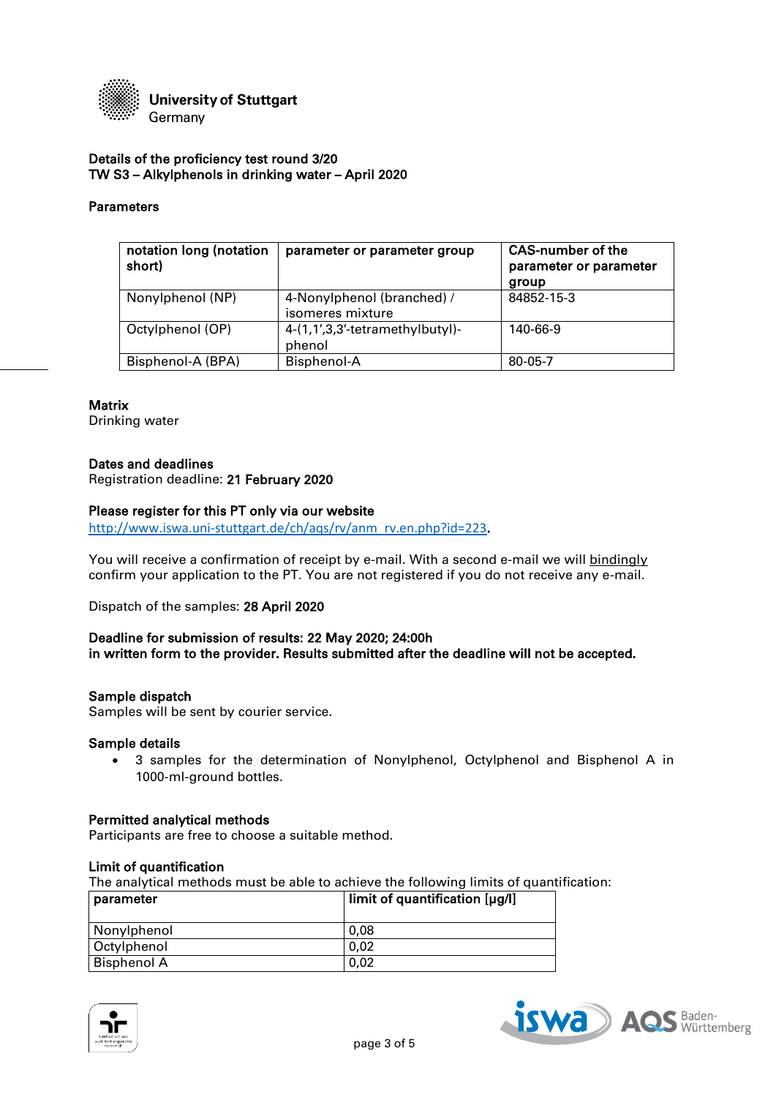

## Details of the proficiency test round 3/20 TW S3 – Alkylphenols in drinking water – April 2020

## Parameters

| notation long (notation<br>short) | parameter or parameter group                   | <b>CAS-number of the</b><br>parameter or parameter<br>group |
|-----------------------------------|------------------------------------------------|-------------------------------------------------------------|
| Nonylphenol (NP)                  | 4-Nonylphenol (branched) /<br>isomeres mixture | 84852-15-3                                                  |
| Octylphenol (OP)                  | 4-(1,1',3,3'-tetramethylbutyl)-<br>phenol      | 140-66-9                                                    |
| Bisphenol-A (BPA)                 | Bisphenol-A                                    | 80-05-7                                                     |

#### **Matrix**

Drinking water

#### Dates and deadlines

Registration deadline: 21 February 2020

## Please register for this PT only via our website

[http://www.iswa.uni-stuttgart.de/ch/aqs/rv/anm\\_rv.en.php?id=223](http://www.iswa.uni-stuttgart.de/ch/aqs/rv/anm_rv.en.php?id=223).

You will receive a confirmation of receipt by e-mail. With a second e-mail we will bindingly confirm your application to the PT. You are not registered if you do not receive any e-mail.

Dispatch of the samples: 28 April 2020

## Deadline for submission of results: 22 May 2020; 24:00h in written form to the provider. Results submitted after the deadline will not be accepted.

## Sample dispatch

Samples will be sent by courier service.

#### Sample details

 3 samples for the determination of Nonylphenol, Octylphenol and Bisphenol A in 1000-ml-ground bottles.

#### Permitted analytical methods

Participants are free to choose a suitable method.

#### Limit of quantification

The analytical methods must be able to achieve the following limits of quantification:

| parameter   | limit of quantification [µg/l] |
|-------------|--------------------------------|
| Nonylphenol | 0.08                           |
| Octylphenol | 0.02                           |
| Bisphenol A | 0.02                           |



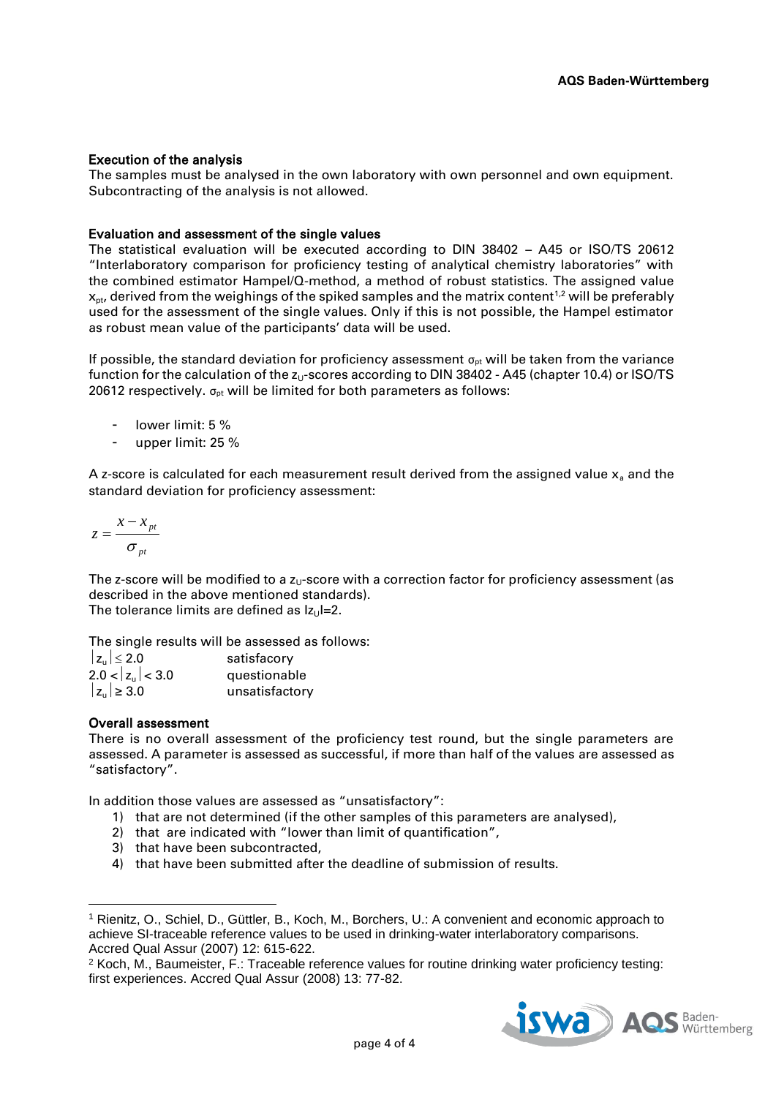## Execution of the analysis

The samples must be analysed in the own laboratory with own personnel and own equipment. Subcontracting of the analysis is not allowed.

## Evaluation and assessment of the single values

The statistical evaluation will be executed according to DIN 38402 – A45 or ISO/TS 20612 "Interlaboratory comparison for proficiency testing of analytical chemistry laboratories" with the combined estimator Hampel/Q-method, a method of robust statistics. The assigned value  $x<sub>nt</sub>$  derived from the weighings of the spiked samples and the matrix content<sup>1,2</sup> will be preferably used for the assessment of the single values. Only if this is not possible, the Hampel estimator as robust mean value of the participants' data will be used.

If possible, the standard deviation for proficiency assessment  $\sigma_{pt}$  will be taken from the variance function for the calculation of the  $z_U$ -scores according to DIN 38402 - A45 (chapter 10.4) or ISO/TS 20612 respectively.  $\sigma_{\text{ot}}$  will be limited for both parameters as follows:

- lower limit: 5 %
- upper limit: 25 %

A z-score is calculated for each measurement result derived from the assigned value  $x_a$  and the standard deviation for proficiency assessment:

$$
z = \frac{x - x_{pt}}{\sigma_{pt}}
$$

The z-score will be modified to a  $z<sub>U</sub>$ -score with a correction factor for proficiency assessment (as described in the above mentioned standards). The tolerance limits are defined as  $|z_0|=2$ .

The single results will be assessed as follows:

| $ z_{\rm u}  \leq 2.0$       | satisfacory    |
|------------------------------|----------------|
| $2.0 <  z_{\text{u}}  < 3.0$ | questionable   |
| $ z_{\rm u}  \geq 3.0$       | unsatisfactory |

## Overall assessment

 $\overline{\phantom{a}}$ 

There is no overall assessment of the proficiency test round, but the single parameters are assessed. A parameter is assessed as successful, if more than half of the values are assessed as "satisfactory".

In addition those values are assessed as "unsatisfactory":

- 1) that are not determined (if the other samples of this parameters are analysed),
- 2) that are indicated with "lower than limit of quantification",
- 3) that have been subcontracted,
- 4) that have been submitted after the deadline of submission of results.

<sup>2</sup> Koch, M., Baumeister, F.: Traceable reference values for routine drinking water proficiency testing: first experiences. Accred Qual Assur (2008) 13: 77-82.



<sup>1</sup> Rienitz, O., Schiel, D., Güttler, B., Koch, M., Borchers, U.: A convenient and economic approach to achieve SI-traceable reference values to be used in drinking-water interlaboratory comparisons. Accred Qual Assur (2007) 12: 615-622.